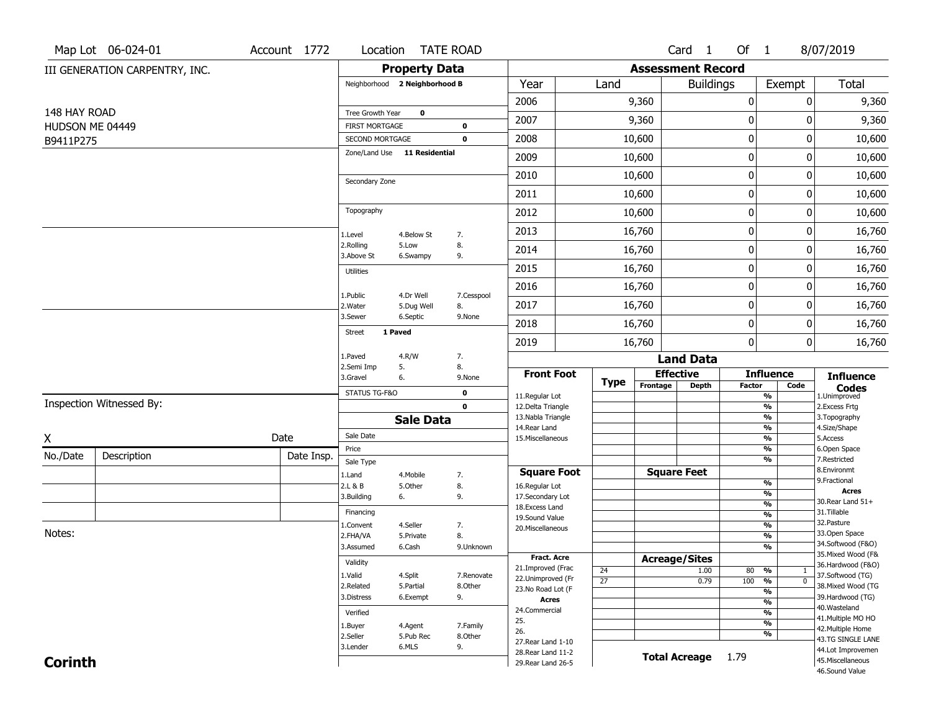|                 | Map Lot 06-024-01              | Account 1772 | Location                                 |                               | <b>TATE ROAD</b> |                                         |                       |                          | Card <sub>1</sub>    | Of $1$           |                                                                                                                                                                               | 8/07/2019                                                   |
|-----------------|--------------------------------|--------------|------------------------------------------|-------------------------------|------------------|-----------------------------------------|-----------------------|--------------------------|----------------------|------------------|-------------------------------------------------------------------------------------------------------------------------------------------------------------------------------|-------------------------------------------------------------|
|                 | III GENERATION CARPENTRY, INC. |              |                                          | <b>Property Data</b>          |                  |                                         |                       | <b>Assessment Record</b> |                      |                  |                                                                                                                                                                               |                                                             |
|                 |                                |              |                                          | Neighborhood 2 Neighborhood B |                  | Year                                    | Land                  |                          | <b>Buildings</b>     |                  | Exempt                                                                                                                                                                        | Total                                                       |
|                 |                                |              |                                          |                               |                  | 2006                                    |                       | 9,360                    |                      | $\pmb{0}$        | 0                                                                                                                                                                             | 9,360                                                       |
| 148 HAY ROAD    |                                |              | Tree Growth Year                         | 0                             |                  | 2007                                    |                       | 9,360                    |                      | 0                | 0                                                                                                                                                                             | 9,360                                                       |
| HUDSON ME 04449 |                                |              | <b>FIRST MORTGAGE</b><br>SECOND MORTGAGE |                               | 0<br>$\mathbf 0$ | 2008                                    |                       | 10,600                   |                      | $\boldsymbol{0}$ | 0                                                                                                                                                                             | 10,600                                                      |
| B9411P275       |                                |              |                                          | Zone/Land Use 11 Residential  |                  |                                         |                       |                          |                      |                  |                                                                                                                                                                               |                                                             |
|                 |                                |              |                                          |                               |                  | 2009                                    |                       | 10,600                   |                      | $\mathbf 0$      | 0                                                                                                                                                                             | 10,600                                                      |
|                 |                                |              | Secondary Zone                           |                               |                  | 2010                                    |                       | 10,600                   |                      | $\boldsymbol{0}$ | 0                                                                                                                                                                             | 10,600                                                      |
|                 |                                |              |                                          |                               |                  | 2011                                    |                       | 10,600                   |                      | $\mathbf 0$      | 0                                                                                                                                                                             | 10,600                                                      |
|                 |                                |              | Topography                               |                               |                  | 2012                                    |                       | 10,600                   |                      | $\boldsymbol{0}$ | 0                                                                                                                                                                             | 10,600                                                      |
|                 |                                |              | 1.Level                                  | 4.Below St                    | 7.               | 2013                                    |                       | 16,760                   |                      | $\mathbf 0$      | 0                                                                                                                                                                             | 16,760                                                      |
|                 |                                |              | 2.Rolling<br>3.Above St                  | 5.Low<br>6.Swampy             | 8.<br>9.         | 2014                                    |                       | 16,760                   |                      | 0                | 0                                                                                                                                                                             | 16,760                                                      |
|                 |                                |              | <b>Utilities</b>                         |                               |                  | 2015                                    |                       | 16,760                   |                      | $\mathbf 0$      | 0                                                                                                                                                                             | 16,760                                                      |
|                 |                                |              |                                          |                               |                  | 2016                                    |                       | 16,760                   |                      | $\boldsymbol{0}$ | 0                                                                                                                                                                             | 16,760                                                      |
|                 |                                |              | 1.Public<br>2. Water                     | 4.Dr Well<br>5.Dug Well       | 7.Cesspool<br>8. | 2017                                    |                       | 16,760                   |                      | $\mathbf 0$      | 0                                                                                                                                                                             | 16,760                                                      |
|                 |                                |              | 3.Sewer                                  | 6.Septic                      | 9.None           | 2018                                    |                       | 16,760                   |                      | $\boldsymbol{0}$ | 0                                                                                                                                                                             | 16,760                                                      |
|                 |                                |              | <b>Street</b>                            | 1 Paved                       |                  | 2019                                    |                       | 16,760                   |                      | $\mathbf{0}$     | 0                                                                                                                                                                             | 16,760                                                      |
|                 |                                |              | 1.Paved                                  | 4.R/W                         | 7.               |                                         |                       |                          | <b>Land Data</b>     |                  |                                                                                                                                                                               |                                                             |
|                 |                                |              | 2.Semi Imp<br>3.Gravel                   | 5.<br>6.                      | 8.<br>9.None     | <b>Front Foot</b>                       |                       |                          | <b>Effective</b>     |                  | <b>Influence</b>                                                                                                                                                              | <b>Influence</b>                                            |
|                 |                                |              | STATUS TG-F&O                            |                               | 0                | 11.Regular Lot                          | <b>Type</b>           | Frontage                 | <b>Depth</b>         | Factor           | Code<br>$\frac{9}{6}$                                                                                                                                                         | $\mathop{{\textbf{Codes}}}\limits_{\text{1.Uniformproved}}$ |
|                 | Inspection Witnessed By:       |              |                                          |                               | $\mathbf 0$      | 12.Delta Triangle                       |                       |                          |                      |                  | $\frac{9}{6}$                                                                                                                                                                 | 2.Excess Frtg                                               |
|                 |                                |              |                                          | <b>Sale Data</b>              |                  | 13. Nabla Triangle<br>14. Rear Land     |                       |                          |                      |                  | $\overline{\frac{9}{6}}$<br>$\frac{9}{6}$                                                                                                                                     | 3. Topography<br>4.Size/Shape                               |
| Χ               |                                | Date         | Sale Date                                |                               |                  | 15. Miscellaneous                       |                       |                          |                      |                  | $\overline{\frac{9}{6}}$                                                                                                                                                      | 5.Access                                                    |
| No./Date        | Description                    | Date Insp.   | Price                                    |                               |                  |                                         |                       |                          |                      |                  | $\frac{9}{6}$<br>$\overline{\frac{9}{6}}$                                                                                                                                     | 6.Open Space<br>7.Restricted                                |
|                 |                                |              | Sale Type<br>1.Land                      | 4. Mobile                     | 7.               | <b>Square Foot</b>                      |                       |                          | <b>Square Feet</b>   |                  |                                                                                                                                                                               | 8.Environmt                                                 |
|                 |                                |              | 2.L & B                                  | 5.Other                       | 8.               | 16.Regular Lot                          |                       |                          |                      |                  | $\frac{9}{6}$                                                                                                                                                                 | 9. Fractional                                               |
|                 |                                |              | 3.Building                               | 6.                            | 9.               | 17.Secondary Lot                        |                       |                          |                      |                  |                                                                                                                                                                               |                                                             |
|                 |                                |              | Financing                                |                               |                  | 18. Excess Land<br>19.Sound Value       |                       |                          |                      |                  |                                                                                                                                                                               | 31.Tillable                                                 |
|                 |                                |              | 1.Convent                                | 4.Seller                      | 7.               | 20.Miscellaneous                        |                       |                          |                      |                  |                                                                                                                                                                               |                                                             |
| Notes:          |                                |              | 2.FHA/VA                                 | 5.Private                     | 8.               |                                         |                       |                          |                      |                  |                                                                                                                                                                               |                                                             |
|                 |                                |              | 3.Assumed                                | 6.Cash                        | 9.Unknown        |                                         |                       |                          |                      |                  |                                                                                                                                                                               |                                                             |
|                 |                                |              | Validity                                 |                               |                  | <b>Fract. Acre</b><br>21.Improved (Frac |                       |                          | <b>Acreage/Sites</b> |                  | <b>Acres</b><br>%<br>30. Rear Land 51+<br>%<br>$\frac{9}{6}$<br>32.Pasture<br>$\frac{9}{6}$<br>33.Open Space<br>$\frac{9}{6}$<br>34.Softwood (F&O)<br>%<br>35. Mixed Wood (F& | 36.Hardwood (F&O)                                           |
|                 |                                |              | 1.Valid                                  | 4.Split                       | 7.Renovate       | 22.Unimproved (Fr                       | 24<br>$\overline{27}$ |                          | 1.00<br>0.79         | 80 %<br>100 %    | $\mathbf{1}$<br>$\overline{\mathfrak{o}}$                                                                                                                                     | 37.Softwood (TG)                                            |
|                 |                                |              | 2.Related                                | 5.Partial                     | 8.Other          | 23.No Road Lot (F                       |                       |                          |                      |                  | $\frac{9}{6}$                                                                                                                                                                 | 38. Mixed Wood (TG                                          |
|                 |                                |              | 3.Distress                               | 6.Exempt                      | 9.               | <b>Acres</b>                            |                       |                          |                      |                  | $\frac{9}{6}$                                                                                                                                                                 | 39.Hardwood (TG)                                            |
|                 |                                |              | Verified                                 |                               |                  | 24.Commercial                           |                       |                          |                      |                  | $\frac{9}{6}$                                                                                                                                                                 | 40. Wasteland<br>41. Multiple MO HO                         |
|                 |                                |              | 1.Buyer                                  | 4.Agent                       | 7.Family         | 25.                                     |                       |                          |                      |                  | $\overline{\frac{9}{6}}$                                                                                                                                                      | 42. Multiple Home                                           |
|                 |                                |              | 2.Seller                                 | 5.Pub Rec                     | 8.Other          | 26.<br>27. Rear Land 1-10               |                       |                          |                      |                  | %                                                                                                                                                                             | 43.TG SINGLE LANE                                           |
|                 |                                |              | 3.Lender                                 | 6.MLS                         | 9.               | 28. Rear Land 11-2                      |                       |                          |                      |                  |                                                                                                                                                                               | 44.Lot Improvemen                                           |
| <b>Corinth</b>  |                                |              |                                          |                               |                  | 29. Rear Land 26-5                      |                       |                          | <b>Total Acreage</b> | 1.79             |                                                                                                                                                                               | 45. Miscellaneous<br>46.Sound Value                         |
|                 |                                |              |                                          |                               |                  |                                         |                       |                          |                      |                  |                                                                                                                                                                               |                                                             |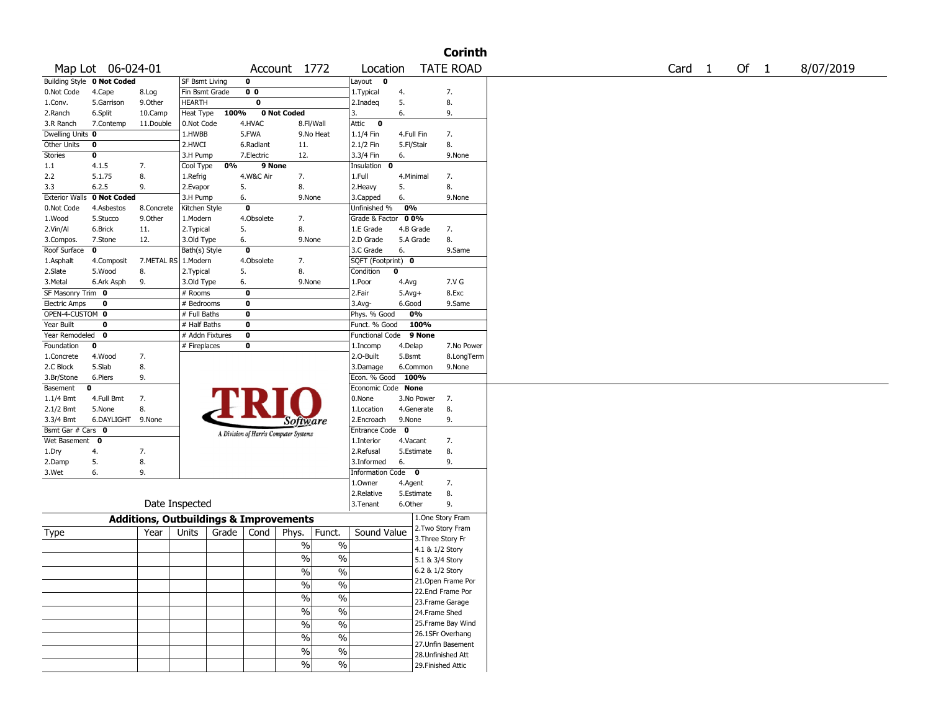|                                                    |                            |                                                   |                |      |                                       |                 |                        |                    |            |                 | <b>Corinth</b>     |  |        |  |        |           |
|----------------------------------------------------|----------------------------|---------------------------------------------------|----------------|------|---------------------------------------|-----------------|------------------------|--------------------|------------|-----------------|--------------------|--|--------|--|--------|-----------|
|                                                    | Map Lot 06-024-01          |                                                   |                |      |                                       | Account 1772    |                        | Location           |            |                 | <b>TATE ROAD</b>   |  | Card 1 |  | Of $1$ | 8/07/2019 |
|                                                    | Building Style 0 Not Coded |                                                   | SF Bsmt Living |      | 0                                     |                 |                        | Layout <b>0</b>    |            |                 |                    |  |        |  |        |           |
| 0.Not Code                                         | 4.Cape                     | 8.Log                                             | Fin Bsmt Grade |      | 0 <sub>0</sub>                        |                 |                        | 1.Typical          | 4.         |                 | 7.                 |  |        |  |        |           |
| 1.Conv.                                            | 5.Garrison                 | 9.0ther                                           | <b>HEARTH</b>  |      | 0                                     |                 |                        | 2.Inadeq           | 5.         |                 | 8.                 |  |        |  |        |           |
| 2.Ranch                                            | 6.Split                    | 10.Camp                                           | Heat Type      | 100% |                                       | 0 Not Coded     |                        | 3.                 | 6.         |                 | 9.                 |  |        |  |        |           |
| 3.R Ranch                                          | 7.Contemp                  | 11.Double                                         | 0.Not Code     |      | 4.HVAC                                |                 | 8.Fl/Wall              | Attic 0            |            |                 |                    |  |        |  |        |           |
| Dwelling Units 0                                   |                            |                                                   | 1.HWBB         |      | 5.FWA                                 |                 | 9.No Heat              | $1.1/4$ Fin        | 4.Full Fin |                 | 7.                 |  |        |  |        |           |
| <b>Other Units</b>                                 | 0                          |                                                   | 2.HWCI         |      | 6.Radiant                             | 11.             |                        | 2.1/2 Fin          | 5.Fl/Stair |                 | 8.                 |  |        |  |        |           |
| Stories                                            | 0                          |                                                   | 3.H Pump       |      | 7.Electric                            | 12.             |                        | 3.3/4 Fin          | 6.         |                 | 9.None             |  |        |  |        |           |
| 1.1                                                | 4.1.5                      | 7.                                                | Cool Type      | 0%   | 9 None                                |                 |                        | Insulation 0       |            |                 |                    |  |        |  |        |           |
| 2.2                                                | 5.1.75                     | 8.                                                | 1.Refrig       |      | 4.W&C Air                             | 7.              |                        | 1.Full             | 4.Minimal  |                 | 7.                 |  |        |  |        |           |
| 3.3                                                | 6.2.5                      | 9.                                                | 2.Evapor       |      | 5.                                    | 8.              |                        | 2.Heavy            | 5.         |                 | 8.                 |  |        |  |        |           |
| <b>Exterior Walls</b>                              | 0 Not Coded                |                                                   | 3.H Pump       |      | 6.                                    | 9.None          |                        | 3.Capped           | 6.         |                 | 9.None             |  |        |  |        |           |
| 0.Not Code                                         | 4.Asbestos                 | 8.Concrete                                        | Kitchen Style  |      | 0                                     |                 |                        | Unfinished %       | 0%         |                 |                    |  |        |  |        |           |
| 1.Wood                                             | 5.Stucco                   | 9.0ther                                           | 1.Modern       |      | 4.Obsolete                            | 7.              |                        | Grade & Factor     | 00%        |                 |                    |  |        |  |        |           |
| 2.Vin/Al                                           | 6.Brick                    | 11.                                               | 2.Typical      |      | 5.                                    | 8.              |                        | 1.E Grade          | 4.B Grade  |                 | 7.                 |  |        |  |        |           |
| 3.Compos.                                          | 7.Stone                    | 12.                                               | 3.Old Type     |      | 6.                                    | 9.None          |                        | 2.D Grade          | 5.A Grade  |                 | 8.                 |  |        |  |        |           |
| Roof Surface                                       | 0                          |                                                   | Bath(s) Style  |      | 0                                     |                 |                        | 3.C Grade          | 6.         |                 | 9.Same             |  |        |  |        |           |
| 1.Asphalt                                          | 4.Composit                 | 7.METAL RS                                        | 1.Modern       |      | 4.Obsolete                            | 7.              |                        | SQFT (Footprint) 0 |            |                 |                    |  |        |  |        |           |
| 2.Slate                                            | 5.Wood                     | 8.                                                | 2.Typical      |      | 5.                                    | 8.              |                        | Condition          | 0          |                 |                    |  |        |  |        |           |
| 3.Metal                                            | 6.Ark Asph                 | 9.                                                | 3.Old Type     |      | 6.                                    | 9.None          |                        | 1.Poor             | 4.Avg      |                 | 7.V G              |  |        |  |        |           |
| SF Masonry Trim 0                                  |                            |                                                   | # Rooms        |      | 0                                     |                 |                        | 2.Fair             | $5.Avg+$   |                 | 8.Exc              |  |        |  |        |           |
| <b>Electric Amps</b>                               | 0                          |                                                   | # Bedrooms     |      | 0                                     |                 |                        | $3.$ Avg-          | 6.Good     |                 | 9.Same             |  |        |  |        |           |
| OPEN-4-CUSTOM 0                                    |                            |                                                   | # Full Baths   |      | 0                                     |                 |                        | Phys. % Good       |            | 0%              |                    |  |        |  |        |           |
| Year Built                                         | 0                          |                                                   | # Half Baths   |      | 0                                     |                 |                        | Funct. % Good      |            | 100%            |                    |  |        |  |        |           |
| Year Remodeled<br>$\bf{0}$<br># Addn Fixtures<br>0 |                            |                                                   |                |      |                                       |                 | Functional Code 9 None |                    |            |                 |                    |  |        |  |        |           |
| Foundation                                         | 0                          |                                                   | # Fireplaces   |      | 0                                     |                 |                        | 1.Incomp           | 4.Delap    |                 | 7.No Power         |  |        |  |        |           |
| 1.Concrete                                         | 4.Wood                     | 7.                                                |                |      |                                       |                 |                        | 2.0-Built          | 5.Bsmt     |                 | 8.LongTerm         |  |        |  |        |           |
| 2.C Block                                          | 5.Slab                     | 8.                                                |                |      |                                       |                 |                        | 3.Damage           |            | 6.Common        | 9.None             |  |        |  |        |           |
| 3.Br/Stone                                         | 6.Piers                    | 9.                                                |                |      |                                       |                 |                        | Econ. % Good 100%  |            |                 |                    |  |        |  |        |           |
| Basement                                           | 0                          |                                                   |                |      |                                       |                 |                        | Economic Code None |            |                 |                    |  |        |  |        |           |
| $1.1/4$ Bmt                                        | 4.Full Bmt                 | 7.                                                |                |      |                                       |                 |                        | 0.None             |            | 3.No Power      | 7.                 |  |        |  |        |           |
| $2.1/2$ Bmt                                        | 5.None                     | 8.                                                |                |      |                                       |                 |                        | 1.Location         |            | 4.Generate      | 8.                 |  |        |  |        |           |
| 3.3/4 Bmt                                          | 6.DAYLIGHT 9.None          |                                                   |                |      |                                       | <i>Software</i> |                        | 2.Encroach         | 9.None     |                 | 9.                 |  |        |  |        |           |
| Bsmt Gar # Cars 0                                  |                            |                                                   |                |      | A Division of Harris Computer Systems |                 |                        | Entrance Code 0    |            |                 |                    |  |        |  |        |           |
| Wet Basement 0                                     |                            |                                                   |                |      |                                       |                 |                        | 1.Interior         | 4.Vacant   |                 | 7.                 |  |        |  |        |           |
| 1.Dry                                              | 4.                         | 7.                                                |                |      |                                       |                 |                        | 2.Refusal          |            | 5.Estimate      | 8.                 |  |        |  |        |           |
| 2.Damp                                             | 5.                         | 8.                                                |                |      |                                       |                 |                        | 3.Informed         | 6.         |                 | 9.                 |  |        |  |        |           |
| 3.Wet                                              | 6.                         | 9.                                                |                |      |                                       |                 |                        | Information Code 0 |            |                 |                    |  |        |  |        |           |
|                                                    |                            |                                                   |                |      |                                       |                 |                        | 1.0wner            | 4.Agent    |                 | 7.                 |  |        |  |        |           |
|                                                    |                            |                                                   |                |      |                                       |                 |                        | 2.Relative         |            | 5.Estimate      | 8.                 |  |        |  |        |           |
|                                                    |                            |                                                   | Date Inspected |      |                                       |                 |                        | 3.Tenant           | 6.Other    |                 | 9.                 |  |        |  |        |           |
|                                                    |                            | <b>Additions, Outbuildings &amp; Improvements</b> |                |      |                                       |                 |                        |                    |            |                 | 1.One Story Fram   |  |        |  |        |           |
|                                                    |                            |                                                   |                |      |                                       |                 |                        |                    |            |                 | 2. Two Story Fram  |  |        |  |        |           |
| Type                                               |                            | Year                                              | Units          |      | Grade   Cond                          | Phys.           | Funct.                 | Sound Value        |            |                 | 3. Three Story Fr  |  |        |  |        |           |
|                                                    |                            |                                                   |                |      |                                       | %               | $\%$                   |                    |            | 4.1 & 1/2 Story |                    |  |        |  |        |           |
|                                                    |                            |                                                   |                |      |                                       | $\frac{0}{0}$   | $\%$                   |                    |            | 5.1 & 3/4 Story |                    |  |        |  |        |           |
|                                                    |                            |                                                   |                |      |                                       | $\sqrt{6}$      | $\sqrt{6}$             |                    |            | 6.2 & 1/2 Story |                    |  |        |  |        |           |
|                                                    |                            |                                                   |                |      |                                       |                 |                        |                    |            |                 | 21. Open Frame Por |  |        |  |        |           |
|                                                    |                            |                                                   |                |      |                                       | $\sqrt{6}$      | $\sqrt{20}$            |                    |            |                 | 22.Encl Frame Por  |  |        |  |        |           |
|                                                    |                            |                                                   |                |      |                                       | $\sqrt{6}$      | $\frac{0}{6}$          |                    |            |                 | 23. Frame Garage   |  |        |  |        |           |
|                                                    |                            |                                                   |                |      |                                       | $\sqrt{6}$      | $\frac{0}{6}$          |                    |            | 24.Frame Shed   |                    |  |        |  |        |           |
|                                                    |                            |                                                   |                |      |                                       |                 |                        |                    |            |                 | 25. Frame Bay Wind |  |        |  |        |           |
|                                                    |                            |                                                   |                |      |                                       | $\%$            | $\sqrt{6}$             |                    |            |                 | 26.1SFr Overhang   |  |        |  |        |           |
|                                                    |                            |                                                   |                |      |                                       | $\sqrt{6}$      | $\sqrt{20}$            |                    |            |                 | 27. Unfin Basement |  |        |  |        |           |
|                                                    |                            |                                                   |                |      |                                       | $\sqrt{6}$      | $\sqrt{20}$            |                    |            |                 | 28. Unfinished Att |  |        |  |        |           |
|                                                    |                            |                                                   |                |      |                                       | $\sqrt{6}$      | $\sqrt{20}$            |                    |            |                 |                    |  |        |  |        |           |
|                                                    |                            |                                                   |                |      |                                       |                 |                        |                    |            |                 | 29. Finished Attic |  |        |  |        |           |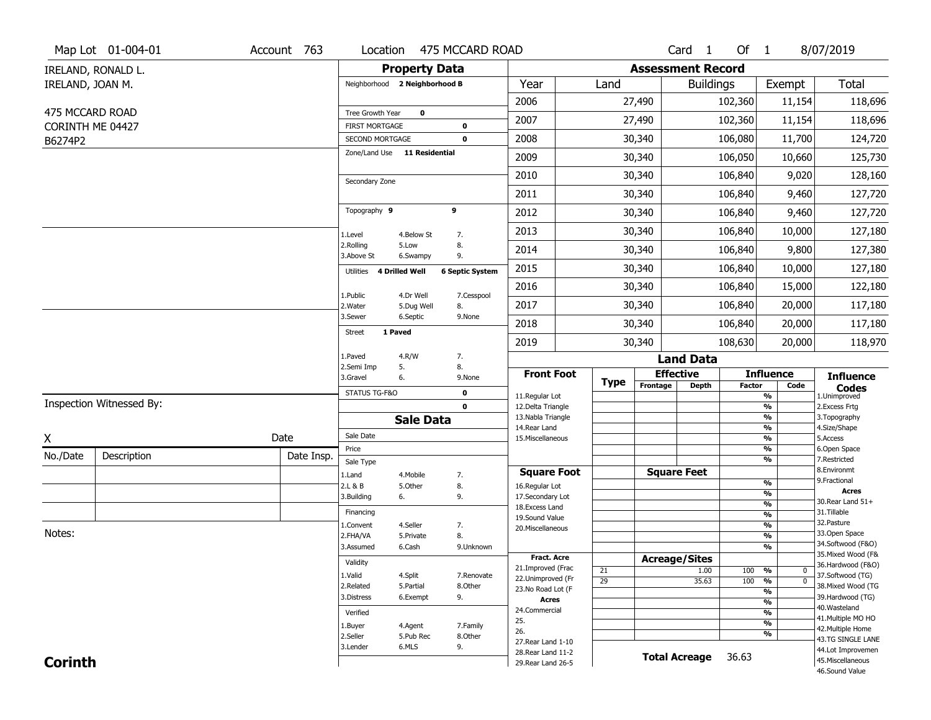|                  | Map Lot 01-004-01        | Account 763 | Location                                 |                               | 475 MCCARD ROAD            |                                         |  |             |                          | Card <sub>1</sub> | Of 1    |                          | 8/07/2019                               |
|------------------|--------------------------|-------------|------------------------------------------|-------------------------------|----------------------------|-----------------------------------------|--|-------------|--------------------------|-------------------|---------|--------------------------|-----------------------------------------|
|                  | IRELAND, RONALD L.       |             |                                          | <b>Property Data</b>          |                            |                                         |  |             | <b>Assessment Record</b> |                   |         |                          |                                         |
| IRELAND, JOAN M. |                          |             |                                          | Neighborhood 2 Neighborhood B |                            | Year                                    |  | Land        |                          | <b>Buildings</b>  |         | Exempt                   | <b>Total</b>                            |
|                  |                          |             |                                          |                               |                            | 2006                                    |  |             | 27,490                   |                   | 102,360 | 11,154                   | 118,696                                 |
| 475 MCCARD ROAD  |                          |             | Tree Growth Year                         | $\mathbf 0$                   |                            | 2007                                    |  |             | 27,490                   |                   | 102,360 | 11,154                   | 118,696                                 |
|                  | CORINTH ME 04427         |             | <b>FIRST MORTGAGE</b><br>SECOND MORTGAGE |                               | $\mathbf 0$<br>$\mathbf 0$ | 2008                                    |  |             | 30,340                   |                   | 106,080 | 11,700                   | 124,720                                 |
| B6274P2          |                          |             |                                          | Zone/Land Use 11 Residential  |                            |                                         |  |             |                          |                   |         |                          |                                         |
|                  |                          |             |                                          |                               |                            | 2009                                    |  |             | 30,340                   |                   | 106,050 | 10,660                   | 125,730                                 |
|                  |                          |             | Secondary Zone                           |                               |                            | 2010                                    |  |             | 30,340                   |                   | 106,840 | 9,020                    | 128,160                                 |
|                  |                          |             |                                          |                               |                            | 2011                                    |  |             | 30,340                   |                   | 106,840 | 9,460                    | 127,720                                 |
|                  |                          |             | Topography 9                             |                               | 9                          | 2012                                    |  |             | 30,340                   |                   | 106,840 | 9,460                    | 127,720                                 |
|                  |                          |             | 1.Level                                  | 4.Below St                    | 7.                         | 2013                                    |  |             | 30,340                   |                   | 106,840 | 10,000                   | 127,180                                 |
|                  |                          |             | 2.Rolling<br>3.Above St                  | 5.Low<br>6.Swampy             | 8.<br>9.                   | 2014                                    |  |             | 30,340                   |                   | 106,840 | 9,800                    | 127,380                                 |
|                  |                          |             | Utilities                                | <b>4 Drilled Well</b>         | <b>6 Septic System</b>     | 2015                                    |  |             | 30,340                   |                   | 106,840 | 10,000                   | 127,180                                 |
|                  |                          |             | 1.Public                                 | 4.Dr Well                     | 7.Cesspool                 | 2016                                    |  |             | 30,340                   |                   | 106,840 | 15,000                   | 122,180                                 |
|                  |                          |             | 2.Water                                  | 5.Dug Well                    | 8.                         | 2017                                    |  |             | 30,340                   |                   | 106,840 | 20,000                   | 117,180                                 |
|                  |                          |             | 3.Sewer                                  | 6.Septic                      | 9.None                     | 2018                                    |  |             | 30,340                   |                   | 106,840 | 20,000                   | 117,180                                 |
|                  |                          |             | <b>Street</b>                            | 1 Paved                       |                            | 2019                                    |  |             | 30,340                   |                   | 108,630 | 20,000                   | 118,970                                 |
|                  |                          |             | 1.Paved                                  | 4.R/W                         | 7.                         |                                         |  |             |                          | <b>Land Data</b>  |         |                          |                                         |
|                  |                          |             | 2.Semi Imp<br>3.Gravel                   | 5.<br>6.                      | 8.<br>9.None               | <b>Front Foot</b>                       |  | <b>Type</b> | <b>Effective</b>         |                   |         | <b>Influence</b>         | <b>Influence</b>                        |
|                  |                          |             | STATUS TG-F&O                            |                               | $\mathbf 0$                | 11.Regular Lot                          |  |             | Frontage                 | Depth             | Factor  | Code<br>%                | <b>Codes</b><br>1.Unimproved            |
|                  | Inspection Witnessed By: |             |                                          |                               | $\mathbf 0$                | 12.Delta Triangle                       |  |             |                          |                   |         | $\frac{9}{6}$            | 2. Excess Frtg                          |
|                  |                          |             |                                          | <b>Sale Data</b>              |                            | 13. Nabla Triangle<br>14. Rear Land     |  |             |                          |                   |         | %<br>%                   | 3. Topography<br>4.Size/Shape           |
| X                |                          | Date        | Sale Date                                |                               |                            | 15. Miscellaneous                       |  |             |                          |                   |         | %                        | 5.Access                                |
| No./Date         | Description              | Date Insp.  | Price                                    |                               |                            |                                         |  |             |                          |                   |         | %<br>%                   | 6.Open Space<br>7.Restricted            |
|                  |                          |             | Sale Type<br>1.Land                      | 4. Mobile                     | 7.                         | <b>Square Foot</b>                      |  |             | <b>Square Feet</b>       |                   |         |                          | 8.Environmt                             |
|                  |                          |             | 2.L & B                                  | 5.Other                       | 8.                         | 16.Regular Lot                          |  |             |                          |                   |         | %                        | 9. Fractional<br><b>Acres</b>           |
|                  |                          |             | 3.Building                               | 6.                            | 9.                         | 17.Secondary Lot                        |  |             |                          |                   |         | %<br>$\frac{9}{6}$       | 30.Rear Land 51+                        |
|                  |                          |             | Financing                                |                               |                            | 18.Excess Land<br>19.Sound Value        |  |             |                          |                   |         | $\overline{\frac{9}{6}}$ | 31.Tillable                             |
|                  |                          |             | 1.Convent                                | 4.Seller                      | 7.                         | 20.Miscellaneous                        |  |             |                          |                   |         | $\frac{9}{6}$            | 32. Pasture                             |
| Notes:           |                          |             | 2.FHA/VA                                 | 5.Private                     | 8.                         |                                         |  |             |                          |                   |         | $\overline{\frac{9}{6}}$ | 33.Open Space                           |
|                  |                          |             | 3.Assumed                                | 6.Cash                        | 9.Unknown                  |                                         |  |             |                          |                   |         | %                        | 34.Softwood (F&O)<br>35. Mixed Wood (F& |
|                  |                          |             | Validity                                 |                               |                            | <b>Fract. Acre</b><br>21.Improved (Frac |  |             | <b>Acreage/Sites</b>     |                   |         |                          | 36.Hardwood (F&O)                       |
|                  |                          |             | 1.Valid                                  | 4.Split                       | 7.Renovate                 | 22.Unimproved (Fr                       |  | 21<br>29    |                          | 1.00              | 100     | %<br>0<br>$\overline{0}$ | 37.Softwood (TG)                        |
|                  |                          |             | 2.Related                                | 5.Partial                     | 8.Other                    | 23.No Road Lot (F                       |  |             |                          | 35.63             | 100     | $\frac{9}{6}$<br>%       | 38. Mixed Wood (TG                      |
|                  |                          |             | 3.Distress                               | 6.Exempt                      | 9.                         | <b>Acres</b>                            |  |             |                          |                   |         | $\frac{9}{6}$            | 39.Hardwood (TG)                        |
|                  |                          |             | Verified                                 |                               |                            | 24.Commercial                           |  |             |                          |                   |         | %                        | 40. Wasteland                           |
|                  |                          |             | 1.Buyer                                  | 4.Agent                       | 7.Family                   | 25.                                     |  |             |                          |                   |         | %                        | 41. Multiple MO HO<br>42. Multiple Home |
|                  |                          |             | 2.Seller                                 | 5.Pub Rec                     | 8.Other                    | 26.<br>27. Rear Land 1-10               |  |             |                          |                   |         | %                        | 43.TG SINGLE LANE                       |
|                  |                          |             | 3.Lender                                 | 6.MLS                         | 9.                         | 28. Rear Land 11-2                      |  |             |                          |                   |         |                          | 44.Lot Improvemen                       |
| <b>Corinth</b>   |                          |             |                                          |                               |                            | 29. Rear Land 26-5                      |  |             | <b>Total Acreage</b>     |                   | 36.63   |                          | 45. Miscellaneous                       |
|                  |                          |             |                                          |                               |                            |                                         |  |             |                          |                   |         |                          | 46.Sound Value                          |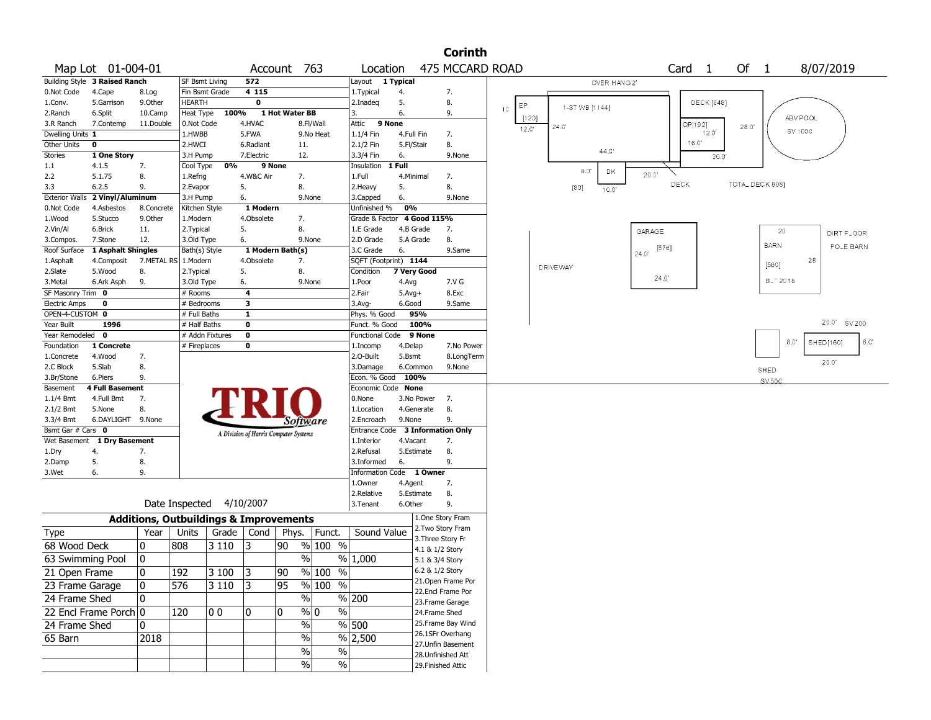|                                        |                               |                                                   |                       |              |                                       |                |                                |                        |                          |                    | <b>Corinth</b>           |          |                |                 |                |                           |                   |                   |                 |             |             |             |     |
|----------------------------------------|-------------------------------|---------------------------------------------------|-----------------------|--------------|---------------------------------------|----------------|--------------------------------|------------------------|--------------------------|--------------------|--------------------------|----------|----------------|-----------------|----------------|---------------------------|-------------------|-------------------|-----------------|-------------|-------------|-------------|-----|
|                                        | Map Lot 01-004-01             |                                                   |                       |              |                                       | Account 763    |                                | Location               |                          |                    | 475 MCCARD ROAD          |          |                |                 |                |                           | Card <sub>1</sub> |                   | Of 1            |             |             | 8/07/2019   |     |
|                                        | Building Style 3 Raised Ranch |                                                   | <b>SF Bsmt Living</b> |              | 572                                   |                |                                | Layout                 | $\overline{1}$ Typical   |                    |                          |          |                |                 | OVER HANG 21   |                           |                   |                   |                 |             |             |             |     |
| 0.Not Code                             | 4.Cape                        | 8.Log                                             | Fin Bsmt Grade        |              | 4115                                  |                |                                | 1. Typical             | 4.                       |                    | 7.                       |          |                |                 |                |                           |                   |                   |                 |             |             |             |     |
| 1.Conv.                                | 5.Garrison                    | 9.0ther                                           | <b>HEARTH</b>         |              | $\overline{\mathbf{0}}$               |                |                                | 2.Inadeq               | 5.                       |                    | 8.                       | ЕP<br>10 |                | 1-ST WB [1144]  |                |                           |                   | <b>DECK</b> [648] |                 |             |             |             |     |
| 2.Ranch                                | 6.Split                       | 10.Camp                                           | Heat Type             | 100%         |                                       | 1 Hot Water BB |                                | 3.                     | 6.                       |                    | 9.                       |          | [120]          |                 |                |                           |                   |                   |                 |             | ABV POOL    |             |     |
| 3.R Ranch                              | 7.Contemp                     | 11.Double                                         | 0.Not Code            |              | 4.HVAC                                |                | 8.Fl/Wall                      | 9 None<br>Attic        |                          |                    |                          |          | $12.0^{\circ}$ | 24.0'           |                |                           | OP[192]           | 12.0'             | 28.0"           |             | SV 1000     |             |     |
| Dwelling Units 1<br><b>Other Units</b> | 0                             |                                                   | 1.HWBB<br>2.HWCI      |              | 5.FWA<br>6.Radiant                    | 11.            | 9.No Heat                      | 1.1/4 Fin<br>2.1/2 Fin | 4.Full Fin<br>5.Fl/Stair |                    | 7.<br>8.                 |          |                |                 |                |                           | 16.C              |                   |                 |             |             |             |     |
| <b>Stories</b>                         | 1 One Story                   |                                                   | 3.H Pump              |              | 7.Electric                            | 12.            |                                | 3.3/4 Fin              | 6.                       |                    | 9.None                   |          |                |                 | 44.C           |                           |                   | 30.0              |                 |             |             |             |     |
| 1.1                                    | 4.1.5                         | 7.                                                | Cool Type             | 0%           | 9 None                                |                |                                | Insulation             | 1 Full                   |                    |                          |          |                |                 |                |                           |                   |                   |                 |             |             |             |     |
| 2.2                                    | 5.1.75                        | 8.                                                | 1.Refrig              |              | 4.W&C Air                             | 7.             |                                | 1.Full                 | 4.Minimal                |                    | 7.                       |          |                | 8.0             | DK             | 20.0                      |                   |                   |                 |             |             |             |     |
| 3.3                                    | 6.2.5                         | 9.                                                | 2.Evapor              |              | 5.                                    | 8.             |                                | 2. Heavy               | 5.                       |                    | 8.                       |          |                | [80]            | $10.0^{\circ}$ |                           | DECK              |                   | TOTAL DECK 808] |             |             |             |     |
| <b>Exterior Walls</b>                  | 2 Vinyl/Aluminum              |                                                   | 3.H Pump              |              | 6.                                    |                | 9.None                         | 3.Capped               | 6.                       |                    | 9.None                   |          |                |                 |                |                           |                   |                   |                 |             |             |             |     |
| 0.Not Code                             | 4.Asbestos                    | 8.Concrete                                        | Kitchen Style         |              | 1 Modern                              |                |                                | Unfinished %           | 0%                       |                    |                          |          |                |                 |                |                           |                   |                   |                 |             |             |             |     |
| 1.Wood                                 | 5.Stucco                      | 9.0ther                                           | 1.Modern              |              | 4.Obsolete                            | 7.             |                                | Grade & Factor         |                          | 4 Good 115%        |                          |          |                |                 |                |                           |                   |                   |                 |             |             |             |     |
| 2.Vin/Al                               | 6.Brick                       | 11.                                               | 2.Typical             |              | 5.                                    | 8.             |                                | 1.E Grade              | 4.B Grade                |                    | 7.                       |          |                |                 |                | GARAGE                    |                   |                   |                 |             | 20          | DIRT FLOOR  |     |
| 3.Compos.                              | 7.Stone                       | 12.                                               | 3.Old Type            |              | 6.                                    |                | 9.None                         | 2.D Grade              | 5.A Grade                |                    | 8.                       |          |                |                 |                |                           |                   |                   |                 |             |             |             |     |
| Roof Surface                           | 1 Asphalt Shingles            |                                                   | Bath(s) Style         |              | 1 Modern Bath(s)                      |                |                                | 3.C Grade              | 6.                       |                    | 9.Same                   |          |                |                 |                | $[576]$<br>$24.0^{\circ}$ |                   |                   |                 | <b>BARN</b> |             | POLE BARN   |     |
| 1.Asphalt                              | 4.Composit                    | 7.METAL RS   1.Modern                             |                       |              | 4.Obsolete                            | 7.             |                                | SQFT (Footprint) 1144  |                          |                    |                          |          |                |                 |                |                           |                   |                   |                 | [560]       |             | 28          |     |
| 2.Slate                                | 5.Wood                        | 8.                                                | 2. Typical            |              | 5.                                    | 8.             |                                | Condition              | 7 Very Good              |                    |                          |          |                | <b>DRIVEWAY</b> |                |                           |                   |                   |                 |             |             |             |     |
| 3.Metal                                | 6.Ark Asph                    | 9.                                                | 3.Old Type            |              | 6.                                    |                | 9.None                         | 1.Poor                 | 4.Avg                    |                    | 7.V G                    |          |                |                 |                | 24.0'                     |                   |                   |                 |             | $B_ - 2018$ |             |     |
| SF Masonry Trim 0                      |                               |                                                   | # Rooms               |              | 4                                     |                |                                | 2.Fair                 | $5.$ Avg $+$             |                    | 8.Exc                    |          |                |                 |                |                           |                   |                   |                 |             |             |             |     |
| <b>Electric Amps</b>                   | 0                             |                                                   | # Bedrooms            |              | 3                                     |                |                                | $3.$ Avg-              | 6.Good                   |                    | 9.Same                   |          |                |                 |                |                           |                   |                   |                 |             |             |             |     |
| OPEN-4-CUSTOM 0                        |                               |                                                   | # Full Baths          |              | $\mathbf{1}$                          |                |                                | Phys. % Good           | 95%                      |                    |                          |          |                |                 |                |                           |                   |                   |                 |             |             | 20.0' SV200 |     |
| Year Built                             | 1996                          |                                                   | # Half Baths          |              | 0                                     |                |                                | Funct. % Good          |                          | 100%               |                          |          |                |                 |                |                           |                   |                   |                 |             |             |             |     |
| Year Remodeled                         | $\mathbf 0$                   |                                                   | # Addn Fixtures       |              | $\bf{0}$                              |                |                                | Functional Code        |                          | 9 None             |                          |          |                |                 |                |                           |                   |                   |                 |             | 8.0         | SHED[160]   | 8.C |
| Foundation                             | 1 Concrete<br>4.Wood          | 7.                                                | # Fireplaces          |              | 0                                     |                |                                | 1.Incomp<br>2.O-Built  | 4.Delap<br>5.Bsmt        |                    | 7.No Power<br>8.LongTerm |          |                |                 |                |                           |                   |                   |                 |             |             |             |     |
| 1.Concrete<br>2.C Block                | 5.Slab                        | 8.                                                |                       |              |                                       |                |                                | 3.Damage               | 6.Common                 |                    | 9.None                   |          |                |                 |                |                           |                   |                   |                 |             |             | 20.0'       |     |
| 3.Br/Stone                             | 6.Piers                       | 9.                                                |                       |              |                                       |                |                                | Econ. % Good 100%      |                          |                    |                          |          |                |                 |                |                           |                   |                   |                 | SHED        |             |             |     |
| Basement                               | <b>4 Full Basement</b>        |                                                   |                       |              |                                       |                |                                | Economic Code None     |                          |                    |                          |          |                |                 |                |                           |                   |                   |                 | SV 500      |             |             |     |
| $1.1/4$ Bmt                            | 4.Full Bmt                    | 7.                                                |                       |              |                                       |                |                                | 0.None                 | 3.No Power               |                    | 7.                       |          |                |                 |                |                           |                   |                   |                 |             |             |             |     |
| 2.1/2 Bmt                              | 5.None                        | 8.                                                |                       |              |                                       |                |                                | 1.Location             | 4.Generate               |                    | 8.                       |          |                |                 |                |                           |                   |                   |                 |             |             |             |     |
| 3.3/4 Bmt                              | 6.DAYLIGHT 9.None             |                                                   |                       |              |                                       |                | Software                       | 2.Encroach             | 9.None                   |                    | 9.                       |          |                |                 |                |                           |                   |                   |                 |             |             |             |     |
| Bsmt Gar # Cars 0                      |                               |                                                   |                       |              | A Division of Harris Computer Systems |                |                                | Entrance Code          |                          | 3 Information Only |                          |          |                |                 |                |                           |                   |                   |                 |             |             |             |     |
| Wet Basement                           | 1 Dry Basement                |                                                   |                       |              |                                       |                |                                | 1.Interior             | 4.Vacant                 |                    | 7.                       |          |                |                 |                |                           |                   |                   |                 |             |             |             |     |
| 1.Dry                                  | 4.                            | 7.                                                |                       |              |                                       |                |                                | 2.Refusal              | 5.Estimate               |                    | 8.                       |          |                |                 |                |                           |                   |                   |                 |             |             |             |     |
| 2.Damp                                 | 5.                            | 8.                                                |                       |              |                                       |                |                                | 3.Informed             | 6.                       |                    | 9.                       |          |                |                 |                |                           |                   |                   |                 |             |             |             |     |
| 3.Wet                                  | 6.                            | 9.                                                |                       |              |                                       |                |                                | Information Code       |                          | 1 Owner            |                          |          |                |                 |                |                           |                   |                   |                 |             |             |             |     |
|                                        |                               |                                                   |                       |              |                                       |                |                                | 1.Owner                | 4.Agent                  |                    | 7.                       |          |                |                 |                |                           |                   |                   |                 |             |             |             |     |
|                                        |                               |                                                   |                       |              |                                       |                |                                | 2.Relative             | 5.Estimate               |                    | 8.                       |          |                |                 |                |                           |                   |                   |                 |             |             |             |     |
|                                        |                               |                                                   | Date Inspected        |              | 4/10/2007                             |                |                                | 3. Tenant              | 6.Other                  |                    | 9.                       |          |                |                 |                |                           |                   |                   |                 |             |             |             |     |
|                                        |                               | <b>Additions, Outbuildings &amp; Improvements</b> |                       |              |                                       |                |                                |                        |                          | 1.One Story Fram   |                          |          |                |                 |                |                           |                   |                   |                 |             |             |             |     |
| Type                                   |                               | Year                                              | Units                 | Grade        | Cond                                  | Phys.          | Funct.                         | Sound Value            |                          | 2.Two Story Fram   |                          |          |                |                 |                |                           |                   |                   |                 |             |             |             |     |
| 68 Wood Deck                           |                               | 0                                                 | 808                   | 3110         | 3                                     | 90             | % 100 %                        |                        |                          | 3. Three Story Fr  |                          |          |                |                 |                |                           |                   |                   |                 |             |             |             |     |
|                                        |                               |                                                   |                       |              |                                       |                |                                |                        |                          | 4.1 & 1/2 Story    |                          |          |                |                 |                |                           |                   |                   |                 |             |             |             |     |
| 63 Swimming Pool                       |                               | 0                                                 |                       |              |                                       |                | $\%$                           | % 1,000                |                          | 5.1 & 3/4 Story    |                          |          |                |                 |                |                           |                   |                   |                 |             |             |             |     |
| 21 Open Frame                          |                               | $\mathbf{0}$                                      | 192                   | 3 100        | 3                                     | 90             | $\frac{9}{6}$ 100 %            |                        |                          | 6.2 & 1/2 Story    |                          |          |                |                 |                |                           |                   |                   |                 |             |             |             |     |
| 23 Frame Garage                        |                               | 0                                                 | 576                   | $3110$       | 3                                     | 95             | % 100 %                        |                        |                          |                    | 21.Open Frame Por        |          |                |                 |                |                           |                   |                   |                 |             |             |             |     |
| 24 Frame Shed                          |                               | 0                                                 |                       |              |                                       |                | $\%$                           | % 200                  |                          | 22.Encl Frame Por  |                          |          |                |                 |                |                           |                   |                   |                 |             |             |             |     |
|                                        | 22 Encl Frame Porch 0         |                                                   |                       |              |                                       | 10             | $\sqrt[6]{0}$<br>$\frac{1}{2}$ |                        |                          | 23. Frame Garage   |                          |          |                |                 |                |                           |                   |                   |                 |             |             |             |     |
|                                        |                               |                                                   | 120                   | $ 00\rangle$ | 10                                    |                |                                |                        |                          | 24.Frame Shed      |                          |          |                |                 |                |                           |                   |                   |                 |             |             |             |     |
| 24 Frame Shed                          |                               | 0                                                 |                       |              |                                       |                | $\frac{0}{0}$                  | $\frac{9}{6}$ 500      |                          | 26.1SFr Overhang   | 25. Frame Bay Wind       |          |                |                 |                |                           |                   |                   |                 |             |             |             |     |
| 65 Barn                                |                               | 2018                                              |                       |              |                                       |                | $\%$                           | % 2,500                |                          | 27.Unfin Basement  |                          |          |                |                 |                |                           |                   |                   |                 |             |             |             |     |
|                                        |                               |                                                   |                       |              |                                       |                | $\%$<br>$\frac{0}{0}$          |                        |                          | 28.Unfinished Att  |                          |          |                |                 |                |                           |                   |                   |                 |             |             |             |     |
|                                        |                               |                                                   |                       |              |                                       |                | $\%$<br>$\%$                   |                        |                          | 29. Finished Attic |                          |          |                |                 |                |                           |                   |                   |                 |             |             |             |     |
|                                        |                               |                                                   |                       |              |                                       |                |                                |                        |                          |                    |                          |          |                |                 |                |                           |                   |                   |                 |             |             |             |     |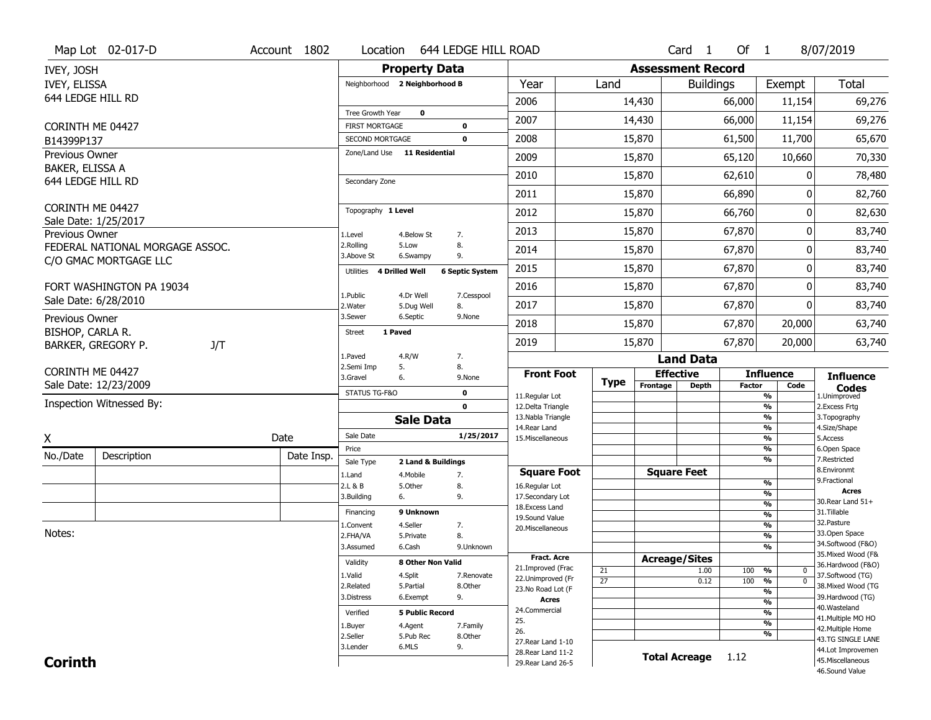|                                   | Map Lot 02-017-D                                                                                                                     | Account 1802 |            | Location                           |                        | 644 LEDGE HILL ROAD    |                                          |                 |                          | Card <sub>1</sub> | Of $1$        |                                                      | 8/07/2019                              |
|-----------------------------------|--------------------------------------------------------------------------------------------------------------------------------------|--------------|------------|------------------------------------|------------------------|------------------------|------------------------------------------|-----------------|--------------------------|-------------------|---------------|------------------------------------------------------|----------------------------------------|
| IVEY, JOSH                        |                                                                                                                                      |              |            |                                    | <b>Property Data</b>   |                        |                                          |                 | <b>Assessment Record</b> |                   |               |                                                      |                                        |
| IVEY, ELISSA                      |                                                                                                                                      |              |            | Neighborhood 2 Neighborhood B      |                        |                        | Year                                     | Land            |                          | <b>Buildings</b>  |               | Exempt                                               | <b>Total</b>                           |
| 644 LEDGE HILL RD                 |                                                                                                                                      |              |            |                                    |                        |                        | 2006                                     |                 | 14,430                   |                   | 66,000        | 11,154                                               | 69,276                                 |
|                                   |                                                                                                                                      |              |            | Tree Growth Year                   | $\mathbf 0$            |                        | 2007                                     |                 | 14,430                   |                   | 66,000        | 11,154                                               | 69,276                                 |
| CORINTH ME 04427                  |                                                                                                                                      |              |            | <b>FIRST MORTGAGE</b>              |                        | $\mathbf 0$            |                                          |                 |                          |                   |               |                                                      |                                        |
| B14399P137                        |                                                                                                                                      |              |            | SECOND MORTGAGE                    |                        | $\mathbf 0$            | 2008                                     |                 | 15,870                   |                   | 61,500        | 11,700                                               | 65,670                                 |
| Previous Owner<br>BAKER, ELISSA A |                                                                                                                                      |              |            | Zone/Land Use 11 Residential       |                        |                        | 2009                                     |                 | 15,870                   |                   | 65,120        | 10,660                                               | 70,330                                 |
| 644 LEDGE HILL RD                 |                                                                                                                                      |              |            | Secondary Zone                     |                        |                        | 2010                                     |                 | 15,870                   |                   | 62,610        |                                                      | 78,480                                 |
|                                   |                                                                                                                                      |              |            |                                    |                        |                        | 2011                                     |                 | 15,870                   |                   | 66,890        | 0                                                    | 82,760                                 |
| CORINTH ME 04427                  |                                                                                                                                      |              |            | Topography 1 Level                 |                        |                        | 2012                                     |                 | 15,870                   |                   | 66,760        | 0                                                    | 82,630                                 |
| Previous Owner                    | Sale Date: 1/25/2017                                                                                                                 |              |            | 1.Level                            | 4.Below St             | 7.                     | 2013                                     |                 | 15,870                   |                   | 67,870        | 0                                                    | 83,740                                 |
|                                   | FEDERAL NATIONAL MORGAGE ASSOC.                                                                                                      |              |            | 2.Rolling                          | 5.Low                  | 8.                     | 2014                                     |                 | 15,870                   |                   | 67,870        | 0                                                    | 83,740                                 |
|                                   | C/O GMAC MORTGAGE LLC                                                                                                                |              |            | 3.Above St                         | 6.Swampy               | 9.                     |                                          |                 |                          |                   |               |                                                      |                                        |
|                                   |                                                                                                                                      |              |            | 4 Drilled Well<br>Utilities        |                        | <b>6 Septic System</b> | 2015                                     |                 | 15,870                   |                   | 67,870        | 0                                                    | 83,740                                 |
|                                   | FORT WASHINGTON PA 19034                                                                                                             |              |            | 1.Public                           | 4.Dr Well              | 7.Cesspool             | 2016                                     |                 | 15,870                   |                   | 67,870        | 0                                                    | 83,740                                 |
|                                   |                                                                                                                                      |              |            | 2. Water                           | 5.Dug Well             | 8.                     | 2017                                     |                 | 15,870                   |                   | 67,870        | 0                                                    | 83,740                                 |
|                                   |                                                                                                                                      |              |            | 3.Sewer                            | 6.Septic               | 9.None                 | 2018                                     |                 | 15,870                   |                   | 67,870        | 20,000                                               | 63,740                                 |
|                                   |                                                                                                                                      |              |            | 1 Paved<br><b>Street</b>           |                        |                        | 2019                                     |                 | 15,870                   |                   | 67,870        | 20,000                                               | 63,740                                 |
|                                   | Sale Date: 6/28/2010<br>Previous Owner<br>BISHOP, CARLA R.<br>BARKER, GREGORY P.<br>J/T<br>CORINTH ME 04427<br>Sale Date: 12/23/2009 |              |            | 1.Paved                            | 4.R/W                  | 7.                     |                                          |                 |                          | <b>Land Data</b>  |               |                                                      |                                        |
|                                   |                                                                                                                                      |              |            | 2.Semi Imp<br>5.<br>3.Gravel<br>6. |                        | 8.<br>9.None           | <b>Front Foot</b>                        |                 | <b>Effective</b>         |                   |               | <b>Influence</b>                                     | <b>Influence</b>                       |
|                                   |                                                                                                                                      |              |            | STATUS TG-F&O                      |                        | $\mathbf 0$            |                                          | <b>Type</b>     | Frontage                 | <b>Depth</b>      | <b>Factor</b> | Code                                                 | <b>Codes</b>                           |
|                                   | Inspection Witnessed By:                                                                                                             |              |            |                                    |                        | $\mathbf{0}$           | 11.Regular Lot<br>12.Delta Triangle      |                 |                          |                   |               | %<br>$\frac{9}{6}$                                   | 1.Unimproved<br>2. Excess Frtg         |
|                                   |                                                                                                                                      |              |            |                                    | <b>Sale Data</b>       |                        | 13. Nabla Triangle                       |                 |                          |                   |               | %                                                    | 3. Topography                          |
| Χ                                 |                                                                                                                                      | Date         |            | Sale Date                          |                        | 1/25/2017              | 14. Rear Land<br>15. Miscellaneous       |                 |                          |                   |               | %<br>%                                               | 4.Size/Shape<br>5.Access               |
|                                   |                                                                                                                                      |              |            | Price                              |                        |                        |                                          |                 |                          |                   |               | %                                                    | 6.Open Space                           |
| No./Date                          | Description                                                                                                                          |              | Date Insp. | Sale Type                          | 2 Land & Buildings     |                        |                                          |                 |                          |                   |               | %                                                    | 7.Restricted                           |
|                                   |                                                                                                                                      |              |            | 1.Land                             | 4. Mobile              | 7.                     | <b>Square Foot</b>                       |                 | <b>Square Feet</b>       |                   |               |                                                      | 8.Environmt<br>9. Fractional           |
|                                   |                                                                                                                                      |              |            | 2.L & B<br>3.Building              | 5.0ther<br>6.          | 8.<br>9.               | 16.Regular Lot<br>17.Secondary Lot       |                 |                          |                   |               | %<br>%                                               | <b>Acres</b>                           |
|                                   |                                                                                                                                      |              |            |                                    |                        |                        | 18. Excess Land                          |                 |                          |                   |               | $\overline{\frac{9}{6}}$                             | 30. Rear Land 51+                      |
|                                   |                                                                                                                                      |              |            | Financing                          | 9 Unknown              |                        | 19.Sound Value                           |                 |                          |                   |               | $\overline{\frac{9}{6}}$                             | 31.Tillable<br>32. Pasture             |
| Notes:                            |                                                                                                                                      |              |            | 1.Convent                          | 4.Seller               | 7.                     | 20.Miscellaneous                         |                 |                          |                   |               | $\overline{\frac{9}{6}}$                             | 33.Open Space                          |
|                                   |                                                                                                                                      |              |            | 2.FHA/VA<br>3.Assumed              | 5.Private<br>6.Cash    | 8.<br>9.Unknown        |                                          |                 |                          |                   |               | $\overline{\frac{9}{6}}$<br>$\overline{\frac{9}{6}}$ | 34.Softwood (F&O)                      |
|                                   |                                                                                                                                      |              |            |                                    |                        |                        |                                          |                 |                          |                   |               |                                                      | 35. Mixed Wood (F&                     |
|                                   |                                                                                                                                      |              |            |                                    |                        |                        |                                          |                 |                          |                   |               |                                                      |                                        |
|                                   |                                                                                                                                      |              |            | Validity                           | 8 Other Non Valid      |                        | <b>Fract, Acre</b>                       |                 | <b>Acreage/Sites</b>     |                   |               |                                                      | 36.Hardwood (F&O)                      |
|                                   |                                                                                                                                      |              |            | 1.Valid                            | 4.Split                | 7.Renovate             | 21.Improved (Frac<br>22.Unimproved (Fr   | 21              |                          | 1.00              | 100           | %<br>$\mathbf 0$                                     | 37.Softwood (TG)                       |
|                                   |                                                                                                                                      |              |            | 2.Related                          | 5.Partial              | 8.Other                | 23.No Road Lot (F                        | $\overline{27}$ |                          | 0.12              | 100           | $\overline{0}$<br>%                                  | 38. Mixed Wood (TG                     |
|                                   |                                                                                                                                      |              |            | 3.Distress                         | 6.Exempt               | 9.                     | <b>Acres</b>                             |                 |                          |                   |               | %<br>$\frac{9}{6}$                                   | 39.Hardwood (TG)                       |
|                                   |                                                                                                                                      |              |            | Verified                           | <b>5 Public Record</b> |                        | 24.Commercial                            |                 |                          |                   |               | %                                                    | 40. Wasteland                          |
|                                   |                                                                                                                                      |              |            |                                    |                        | 7.Family               | 25.                                      |                 |                          |                   |               | $\frac{9}{6}$                                        | 41. Multiple MO HO                     |
|                                   |                                                                                                                                      |              |            | 1.Buyer<br>2.Seller                | 4.Agent<br>5.Pub Rec   | 8.Other                | 26.                                      |                 |                          |                   |               | %                                                    | 42. Multiple Home                      |
|                                   |                                                                                                                                      |              |            | 3.Lender                           | 6.MLS                  | 9.                     | 27. Rear Land 1-10                       |                 |                          |                   |               |                                                      | 43.TG SINGLE LANE                      |
| <b>Corinth</b>                    |                                                                                                                                      |              |            |                                    |                        |                        | 28. Rear Land 11-2<br>29. Rear Land 26-5 |                 | <b>Total Acreage</b>     |                   | 1.12          |                                                      | 44.Lot Improvemen<br>45. Miscellaneous |